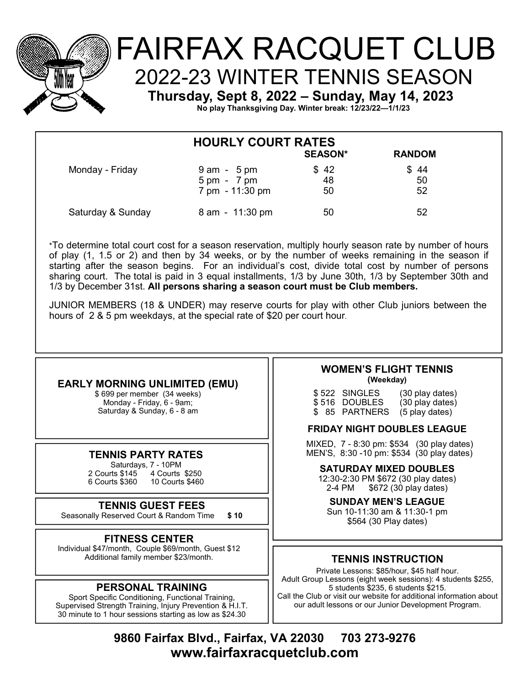

# FAIRFAX RACQUET CLUB 2022-23 WINTER TENNIS SEASON Thursday, Sept 8, 2022 - Sunday, May 14, 2023

No play Thanksgiving Day. Winter break: 12/23/22-1/1/23

| <b>HOURLY COURT RATES</b><br><b>SEASON*</b><br><b>RANDOM</b> |                                                 |            |            |  |  |
|--------------------------------------------------------------|-------------------------------------------------|------------|------------|--|--|
| Monday - Friday                                              |                                                 |            |            |  |  |
|                                                              | $9$ am $-5$ pm<br>$5 \text{ pm} - 7 \text{ pm}$ | \$42<br>48 | \$44<br>50 |  |  |
|                                                              | 7 pm - 11:30 pm                                 | 50         | 52         |  |  |
| Saturday & Sunday                                            | 8 am - 11:30 pm                                 | 50         | 52         |  |  |

\*To determine total court cost for a season reservation, multiply hourly season rate by number of hours of play (1, 1.5 or 2) and then by 34 weeks, or by the number of weeks remaining in the season if<br>starting after the season begins. For an individual's cost, divide total cost by number of persons sharing court. The total is paid in 3 equal installments, 1/3 by June 30th, 1/3 by September 30th and 1/3 by December 31st. All persons sharing a season court must be Club members.

JUNIOR MEMBERS (18 & UNDER) may reserve courts for play with other Club juniors between the hours of 2 & 5 pm weekdays, at the special rate of \$20 per court hour.

# **EARLY MORNING UNLIMITED (EMU)**

\$699 per member (34 weeks) Monday - Friday, 6 - 9am: Saturday & Sunday, 6 - 8 am

# **TENNIS PARTY RATES**

Saturdays, 7 - 10PM 2 Courts \$145 4 Courts \$250 6 Courts \$360 10 Courts \$460

# **TENNIS GUEST FEES**

Seasonally Reserved Court & Random Time  $$10$ 

# **FITNESS CENTER**

Individual \$47/month, Couple \$69/month, Guest \$12 Additional family member \$23/month.

# **PERSONAL TRAINING**

Sport Specific Conditioning, Functional Training, Supervised Strength Training, Injury Prevention & H.I.T. 30 minute to 1 hour sessions starting as low as \$24.30

#### **WOMEN'S FLIGHT TENNIS** (Weekday)

\$522 SINGLES<br>\$516 DOUBLES (30 play dates) (30 play dates) \$ 85 PARTNERS (5 play dates)

#### **FRIDAY NIGHT DOUBLES LEAGUE**

MIXED, 7 - 8:30 pm: \$534 (30 play dates) MEN'S, 8:30 -10 pm: \$534 (30 play dates)

#### **SATURDAY MIXED DOUBLES**

12:30-2:30 PM \$672 (30 play dates) 2-4 PM \$672 (30 play dates)

#### **SUNDAY MEN'S LEAGUE** Sun 10-11:30 am & 11:30-1 pm

\$564 (30 Play dates)

# **TENNIS INSTRUCTION**

Private Lessons: \$85/hour, \$45 half hour. Adult Group Lessons (eight week sessions): 4 students \$255, 5 students \$235, 6 students \$215. Call the Club or visit our website for additional information about our adult lessons or our Junior Development Program.

9860 Fairfax Blvd., Fairfax, VA 22030 703 273-9276 www.fairfaxracquetclub.com